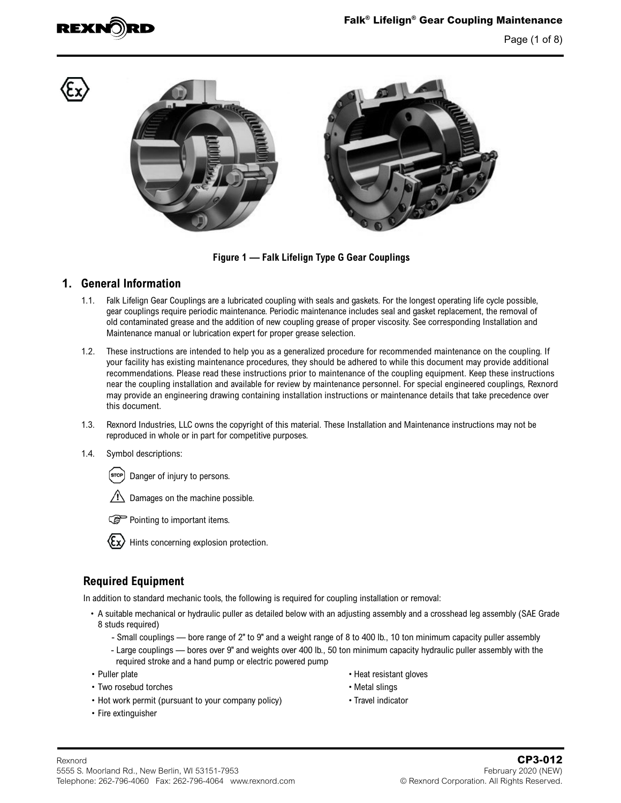





**Figure 1 — Falk Lifelign Type G Gear Couplings**

#### **1. General Information**

- 1.1. Falk Lifelign Gear Couplings are a lubricated coupling with seals and gaskets. For the longest operating life cycle possible, gear couplings require periodic maintenance. Periodic maintenance includes seal and gasket replacement, the removal of old contaminated grease and the addition of new coupling grease of proper viscosity. See corresponding Installation and Maintenance manual or lubrication expert for proper grease selection.
- 1.2. These instructions are intended to help you as a generalized procedure for recommended maintenance on the coupling. If your facility has existing maintenance procedures, they should be adhered to while this document may provide additional recommendations. Please read these instructions prior to maintenance of the coupling equipment. Keep these instructions near the coupling installation and available for review by maintenance personnel. For special engineered couplings, Rexnord may provide an engineering drawing containing installation instructions or maintenance details that take precedence over this document.
- 1.3. Rexnord Industries, LLC owns the copyright of this material. These Installation and Maintenance instructions may not be reproduced in whole or in part for competitive purposes.
- 1.4. Symbol descriptions:



Damages on the machine possible.





Hints concerning explosion protection.

#### **Required Equipment**

In addition to standard mechanic tools, the following is required for coupling installation or removal:

- A suitable mechanical or hydraulic puller as detailed below with an adjusting assembly and a crosshead leg assembly (SAE Grade 8 studs required)
	- Small couplings bore range of 2" to 9" and a weight range of 8 to 400 lb., 10 ton minimum capacity puller assembly
	- Large couplings bores over 9" and weights over 400 lb., 50 ton minimum capacity hydraulic puller assembly with the required stroke and a hand pump or electric powered pump
- 
- Two rosebud torches Metal slings
- Hot work permit (pursuant to your company policy) Travel indicator
- Fire extinguisher
- Puller plate Heat resistant gloves
	-
	-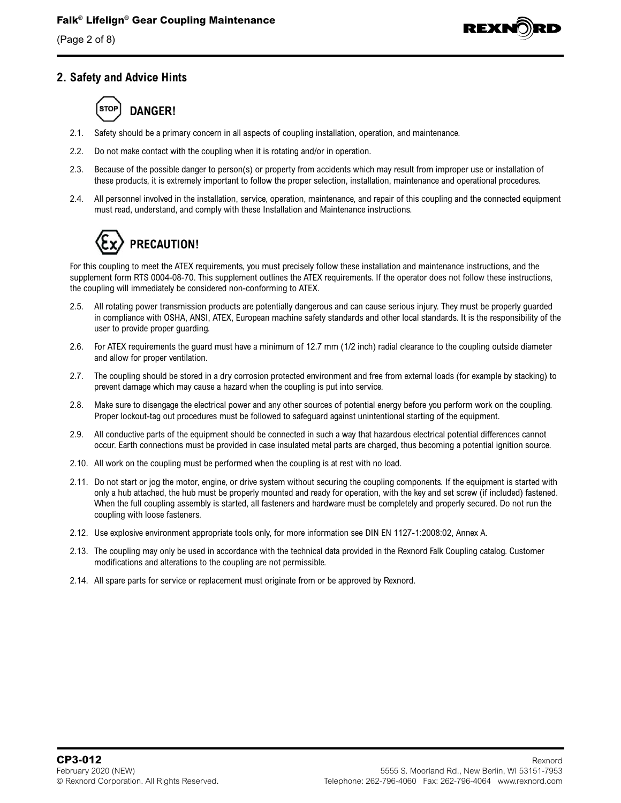(Page 2 of 8)



#### **2. Safety and Advice Hints**

# **DANGER!**

- 2.1. Safety should be a primary concern in all aspects of coupling installation, operation, and maintenance.
- 2.2. Do not make contact with the coupling when it is rotating and/or in operation.
- 2.3. Because of the possible danger to person(s) or property from accidents which may result from improper use or installation of these products, it is extremely important to follow the proper selection, installation, maintenance and operational procedures.
- 2.4. All personnel involved in the installation, service, operation, maintenance, and repair of this coupling and the connected equipment must read, understand, and comply with these Installation and Maintenance instructions.



For this coupling to meet the ATEX requirements, you must precisely follow these installation and maintenance instructions, and the supplement form RTS 0004-08-70. This supplement outlines the ATEX requirements. If the operator does not follow these instructions, the coupling will immediately be considered non-conforming to ATEX.

- 2.5. All rotating power transmission products are potentially dangerous and can cause serious injury. They must be properly guarded in compliance with OSHA, ANSI, ATEX, European machine safety standards and other local standards. It is the responsibility of the user to provide proper guarding.
- 2.6. For ATEX requirements the guard must have a minimum of 12.7 mm (1/2 inch) radial clearance to the coupling outside diameter and allow for proper ventilation.
- 2.7. The coupling should be stored in a dry corrosion protected environment and free from external loads (for example by stacking) to prevent damage which may cause a hazard when the coupling is put into service.
- 2.8. Make sure to disengage the electrical power and any other sources of potential energy before you perform work on the coupling. Proper lockout-tag out procedures must be followed to safeguard against unintentional starting of the equipment.
- 2.9. All conductive parts of the equipment should be connected in such a way that hazardous electrical potential differences cannot occur. Earth connections must be provided in case insulated metal parts are charged, thus becoming a potential ignition source.
- 2.10. All work on the coupling must be performed when the coupling is at rest with no load.
- 2.11. Do not start or jog the motor, engine, or drive system without securing the coupling components. If the equipment is started with only a hub attached, the hub must be properly mounted and ready for operation, with the key and set screw (if included) fastened. When the full coupling assembly is started, all fasteners and hardware must be completely and properly secured. Do not run the coupling with loose fasteners.
- 2.12. Use explosive environment appropriate tools only, for more information see DIN EN 1127-1:2008:02, Annex A.
- 2.13. The coupling may only be used in accordance with the technical data provided in the Rexnord Falk Coupling catalog. Customer modifications and alterations to the coupling are not permissible.
- 2.14. All spare parts for service or replacement must originate from or be approved by Rexnord.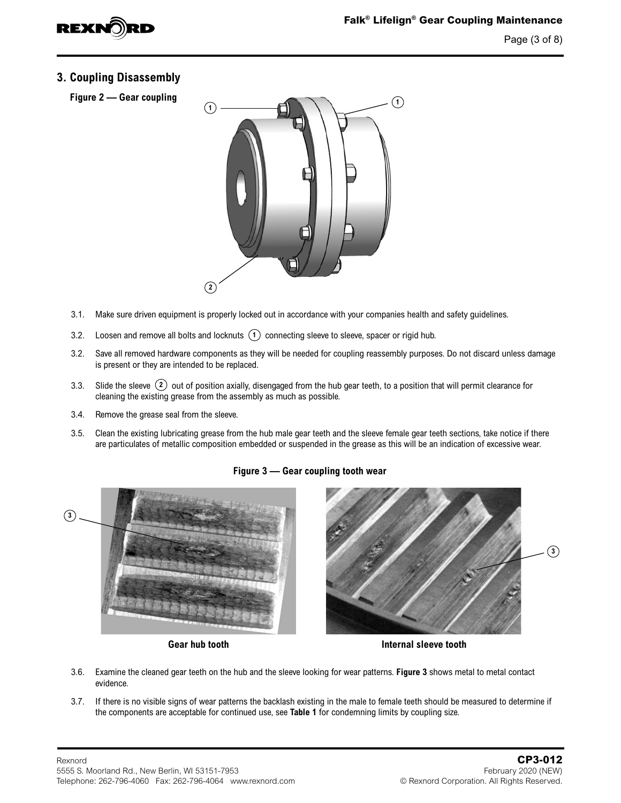

#### **3. Coupling Disassembly**

**Figure 2 — Gear coupling**



- 3.1. Make sure driven equipment is properly locked out in accordance with your companies health and safety guidelines.
- 3.2. Loosen and remove all bolts and locknuts  $(1)$  connecting sleeve to sleeve, spacer or rigid hub.
- 3.2. Save all removed hardware components as they will be needed for coupling reassembly purposes. Do not discard unless damage is present or they are intended to be replaced.
- 3.3. Slide the sleeve **2** out of position axially, disengaged from the hub gear teeth, to a position that will permit clearance for cleaning the existing grease from the assembly as much as possible.
- 3.4. Remove the grease seal from the sleeve.
- 3.5. Clean the existing lubricating grease from the hub male gear teeth and the sleeve female gear teeth sections, take notice if there are particulates of metallic composition embedded or suspended in the grease as this will be an indication of excessive wear.

#### **Figure 3 — Gear coupling tooth wear**





- 3.6. Examine the cleaned gear teeth on the hub and the sleeve looking for wear patterns. **Figure 3** shows metal to metal contact evidence.
- 3.7. If there is no visible signs of wear patterns the backlash existing in the male to female teeth should be measured to determine if the components are acceptable for continued use, see **[Table 1](#page-4-0)** for condemning limits by coupling size.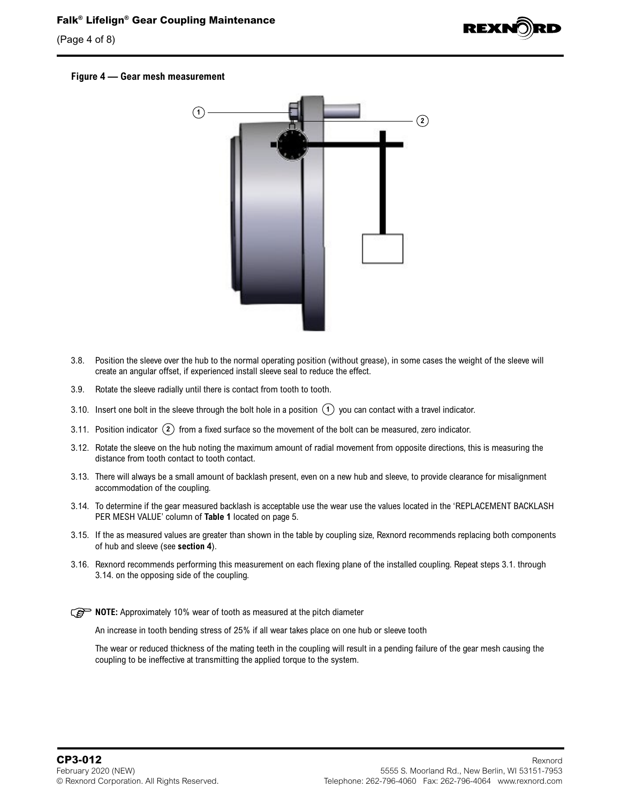# **Falk® Lifelign® Gear Coupling Maintenance**

(Page 4 of 8)



#### **Figure 4 — Gear mesh measurement**



- 3.8. Position the sleeve over the hub to the normal operating position (without grease), in some cases the weight of the sleeve will create an angular offset, if experienced install sleeve seal to reduce the effect.
- 3.9. Rotate the sleeve radially until there is contact from tooth to tooth.
- 3.10. Insert one bolt in the sleeve through the bolt hole in a position  $(1)$  you can contact with a travel indicator.
- 3.11. Position indicator **2** from a fixed surface so the movement of the bolt can be measured, zero indicator.
- 3.12. Rotate the sleeve on the hub noting the maximum amount of radial movement from opposite directions, this is measuring the distance from tooth contact to tooth contact.
- 3.13. There will always be a small amount of backlash present, even on a new hub and sleeve, to provide clearance for misalignment accommodation of the coupling.
- 3.14. To determine if the gear measured backlash is acceptable use the wear use the values located in the 'REPLACEMENT BACKLASH PER MESH VALUE' column of **[Table 1](#page-4-0)** located on [page 5](#page-4-0).
- 3.15. If the as measured values are greater than shown in the table by coupling size, Rexnord recommends replacing both components of hub and sleeve (see **[section 4](#page-4-1)**).
- 3.16. Rexnord recommends performing this measurement on each flexing plane of the installed coupling. Repeat steps 3.1. through 3.14. on the opposing side of the coupling.

**NOTE:** Approximately 10% wear of tooth as measured at the pitch diameter

An increase in tooth bending stress of 25% if all wear takes place on one hub or sleeve tooth

The wear or reduced thickness of the mating teeth in the coupling will result in a pending failure of the gear mesh causing the coupling to be ineffective at transmitting the applied torque to the system.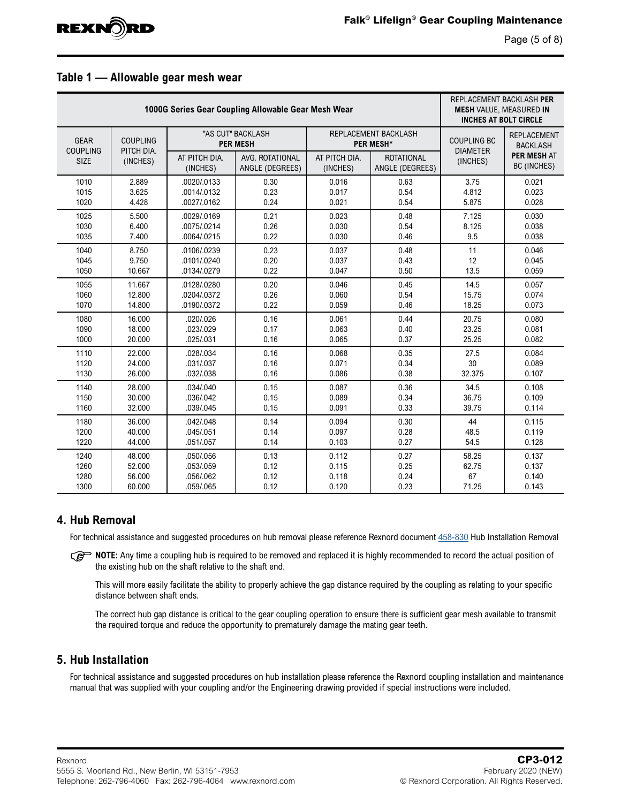

Page (5 of 8)

#### <span id="page-4-0"></span>**Table 1 — Allowable gear mesh wear**

|                                        | REPLACEMENT BACKLASH PER<br><b>MESH VALUE, MEASURED IN</b><br><b>INCHES AT BOLT CIRCLE</b> |                                           |                                                                         |                           |                                          |                                       |                                                                            |  |
|----------------------------------------|--------------------------------------------------------------------------------------------|-------------------------------------------|-------------------------------------------------------------------------|---------------------------|------------------------------------------|---------------------------------------|----------------------------------------------------------------------------|--|
| <b>GEAR</b><br><b>COUPLING</b><br>SIZE | <b>COUPLING</b><br>PITCH DIA.<br>(INCHES)                                                  |                                           | "AS CUT" BACKLASH<br><b>PER MESH</b>                                    |                           | REPLACEMENT BACKLASH<br><b>PER MESH*</b> | <b>COUPLING BC</b><br><b>DIAMETER</b> | <b>REPLACEMENT</b><br><b>BACKLASH</b><br>PER MESH AT<br><b>BC (INCHES)</b> |  |
|                                        |                                                                                            | AT PITCH DIA.<br>(INCHES)                 | AVG. ROTATIONAL<br>ANGLE (DEGREES)                                      | AT PITCH DIA.<br>(INCHES) | <b>ROTATIONAL</b><br>ANGLE (DEGREES)     | (INCHES)                              |                                                                            |  |
| 1010                                   | 2.889                                                                                      | .0020/.0133                               | 0.30                                                                    | 0.016                     | 0.63                                     | 3.75                                  | 0.021                                                                      |  |
| 1015                                   | 3.625                                                                                      | .0014/.0132                               | 0.23                                                                    | 0.017                     | 0.54                                     | 4.812                                 | 0.023                                                                      |  |
| 1020                                   | 4.428                                                                                      | .0027/.0162                               | 0.24                                                                    | 0.021                     | 0.54                                     | 5.875                                 | 0.028                                                                      |  |
| 1025                                   | 5.500                                                                                      | .0029/.0169                               | 0.21                                                                    | 0.023                     | 0.48                                     | 7.125                                 | 0.030                                                                      |  |
| 1030                                   | 6.400                                                                                      | .0075/.0214                               | 0.26                                                                    | 0.030                     | 0.54                                     | 8.125                                 | 0.038                                                                      |  |
| 1035                                   | 7.400                                                                                      | .0064/.0215                               | 0.22                                                                    | 0.030                     | 0.46                                     | 9.5                                   | 0.038                                                                      |  |
| 1040                                   | 8.750                                                                                      | .0106/.0239                               | 0.23                                                                    | 0.037                     | 0.48                                     | 11                                    | 0.046                                                                      |  |
| 1045                                   | 9.750                                                                                      | .0101/.0240                               | 0.20                                                                    | 0.037                     | 0.43                                     | 12                                    | 0.045                                                                      |  |
| 1050                                   | 10.667                                                                                     | .0134/.0279                               | 0.22                                                                    | 0.047                     | 0.50                                     | 13.5                                  | 0.059                                                                      |  |
| 1055<br>1060<br>1070                   | 11.667<br>12.800<br>14.800                                                                 | .0128/.0280<br>.0204/.0372<br>.0190/.0372 | 0.20<br>0.046<br>0.45<br>0.26<br>0.54<br>0.060<br>0.22<br>0.059<br>0.46 |                           |                                          | 14.5<br>15.75<br>18.25                | 0.057<br>0.074<br>0.073                                                    |  |
| 1080                                   | 16.000                                                                                     | .020/.026                                 | 0.16                                                                    | 0.061                     | 0.44                                     | 20.75                                 | 0.080                                                                      |  |
| 1090                                   | 18.000                                                                                     | .023/.029                                 | 0.17                                                                    | 0.063                     | 0.40                                     | 23.25                                 | 0.081                                                                      |  |
| 1000                                   | 20.000                                                                                     | .025/.031                                 | 0.16                                                                    | 0.065                     | 0.37                                     | 25.25                                 | 0.082                                                                      |  |
| 1110                                   | 22.000                                                                                     | .028/.034                                 | 0.16                                                                    | 0.068                     | 0.35                                     | 27.5                                  | 0.084                                                                      |  |
| 1120                                   | 24.000                                                                                     | .031/.037                                 | 0.16                                                                    | 0.071                     | 0.34                                     | 30                                    | 0.089                                                                      |  |
| 1130                                   | 26.000                                                                                     | .032/.038                                 | 0.16                                                                    | 0.086                     | 0.38                                     | 32.375                                | 0.107                                                                      |  |
| 1140                                   | 28.000                                                                                     | .034/.040                                 | 0.15                                                                    | 0.087                     | 0.36                                     | 34.5                                  | 0.108                                                                      |  |
| 1150                                   | 30.000                                                                                     | .036/.042                                 | 0.15                                                                    | 0.089                     | 0.34                                     | 36.75                                 | 0.109                                                                      |  |
| 1160                                   | 32.000                                                                                     | .039/.045                                 | 0.15                                                                    | 0.091                     | 0.33                                     | 39.75                                 | 0.114                                                                      |  |
| 1180                                   | 36.000                                                                                     | .042/.048                                 | 0.14                                                                    | 0.094                     | 0.30                                     | 44                                    | 0.115                                                                      |  |
| 1200                                   | 40.000                                                                                     | .045/.051                                 | 0.14                                                                    | 0.097                     | 0.28                                     | 48.5                                  | 0.119                                                                      |  |
| 1220                                   | 44.000                                                                                     | .051/.057                                 | 0.14                                                                    | 0.103                     | 0.27                                     | 54.5                                  | 0.128                                                                      |  |
| 1240                                   | 48.000                                                                                     | .050/.056                                 | 0.13                                                                    | 0.112                     | 0.27                                     | 58.25                                 | 0.137                                                                      |  |
| 1260                                   | 52.000                                                                                     | .053/.059                                 | 0.12                                                                    | 0.115                     | 0.25                                     | 62.75                                 | 0.137                                                                      |  |
| 1280                                   | 56.000                                                                                     | .056/.062                                 | 0.12                                                                    | 0.118                     | 0.24                                     | 67                                    | 0.140                                                                      |  |
| 1300                                   | 60.000                                                                                     | .059/.065                                 | 0.12                                                                    | 0.120                     | 0.23                                     | 71.25                                 | 0.143                                                                      |  |

#### <span id="page-4-1"></span>**4. Hub Removal**

For technical assistance and suggested procedures on hub removal please reference Rexnord document [458-830](https://www.rexnord.com/contentitems/techlibrary/documents/458-830_manual) Hub Installation Removal

**NOTE:** Any time a coupling hub is required to be removed and replaced it is highly recommended to record the actual position of the existing hub on the shaft relative to the shaft end.

This will more easily facilitate the ability to properly achieve the gap distance required by the coupling as relating to your specific distance between shaft ends.

The correct hub gap distance is critical to the gear coupling operation to ensure there is sufficient gear mesh available to transmit the required torque and reduce the opportunity to prematurely damage the mating gear teeth.

#### **5. Hub Installation**

For technical assistance and suggested procedures on hub installation please reference the Rexnord coupling installation and maintenance manual that was supplied with your coupling and/or the Engineering drawing provided if special instructions were included.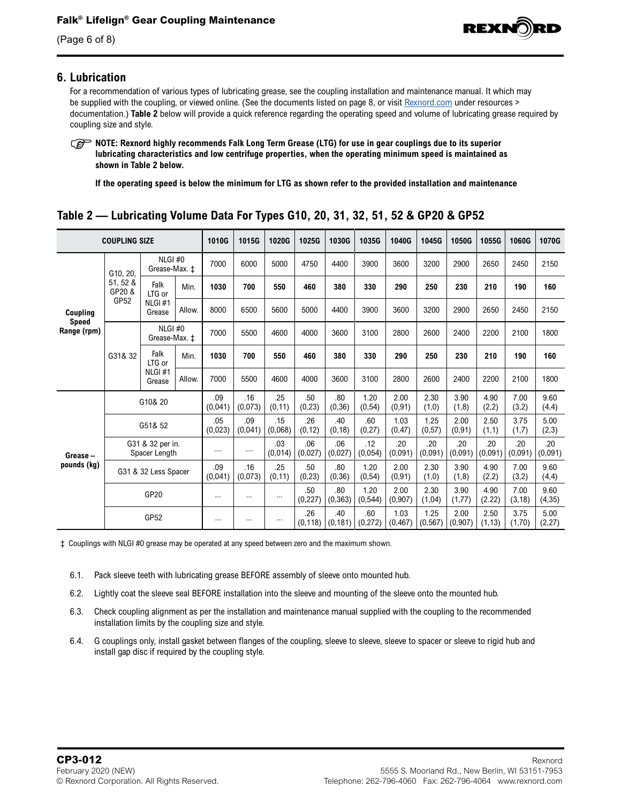

(Page 6 of 8)

#### **6. Lubrication**

For a recommendation of various types of lubricating grease, see the coupling installation and maintenance manual. It which may be supplied with the coupling, or viewed online. (See the documents listed on page 8, or visit [Rexnord.com](https://www.rexnord.com/home.aspx) under resources > documentation.) **[Table 2](#page-5-0)** below will provide a quick reference regarding the operating speed and volume of lubricating grease required by coupling size and style.

**NOTE: Rexnord highly recommends Falk Long Term Grease (LTG) for use in gear couplings due to its superior lubricating characteristics and low centrifuge properties, when the operating minimum speed is maintained as shown in [Table 2](#page-5-0) below.** 

**If the operating speed is below the minimum for LTG as shown refer to the provided installation and maintenance** 

| <b>COUPLING SIZE</b>                    |                                        |                                    |                | 1010G          | 1015G          | 1020G          | 1025G           | 1030G                        | 1035G            | 1040G            | 1045G            | 1050G           | 1055G           | 1060G           | 1070G           |
|-----------------------------------------|----------------------------------------|------------------------------------|----------------|----------------|----------------|----------------|-----------------|------------------------------|------------------|------------------|------------------|-----------------|-----------------|-----------------|-----------------|
| Coupling<br><b>Speed</b><br>Range (rpm) | G10, 20,<br>51, 52 &<br>GP20 &<br>GP52 | NLGI#0<br>Grease-Max. ±            |                | 7000           | 6000           | 5000           | 4750            | 4400                         | 3900             | 3600             | 3200             | 2900            | 2650            | 2450            | 2150            |
|                                         |                                        | Falk<br>LTG or<br>NLGI#1<br>Grease | Min.           | 1030           | 700            | 550            | 460             | 380                          | 330              | 290              | 250              | 230             | 210             | 190             | 160             |
|                                         |                                        |                                    | Allow.         | 8000           | 6500           | 5600           | 5000            | 4400                         | 3900             | 3600             | 3200             | 2900            | 2650            | 2450            | 2150            |
|                                         |                                        | NLGI#0<br>Grease-Max. ±            |                | 7000           | 5500           | 4600           | 4000            | 3600                         | 3100             | 2800             | 2600             | 2400            | 2200            | 2100            | 1800            |
|                                         | G31& 32                                | Falk<br>LTG or<br>NLGI#1<br>Grease | Min.           | 1030           | 700            | 550            | 460             | 380                          | 330              | 290              | 250              | 230             | 210             | 190             | 160             |
|                                         |                                        |                                    | Allow.         | 7000           | 5500           | 4600           | 4000            | 3600                         | 3100             | 2800             | 2600             | 2400            | 2200            | 2100            | 1800            |
| Grease-<br>pounds (kg)                  | G10& 20                                |                                    |                | .09<br>(0,041) | .16<br>(0,073) | .25<br>(0, 11) | .50<br>(0, 23)  | .80<br>(0, 36)               | 1.20<br>(0, 54)  | 2.00<br>(0, 91)  | 2.30<br>(1,0)    | 3.90<br>(1,8)   | 4.90<br>(2,2)   | 7.00<br>(3,2)   | 9.60<br>(4,4)   |
|                                         | G51& 52                                |                                    | .05<br>(0,023) | .09<br>(0,041) | .15<br>(0.068) | .26<br>(0, 12) | .40<br>(0, 18)  | .60<br>(0, 27)               | 1.03<br>(0, 47)  | 1.25<br>(0,57)   | 2.00<br>(0, 91)  | 2.50<br>(1,1)   | 3.75<br>(1,7)   | 5.00<br>(2,3)   |                 |
|                                         | G31 & 32 per in.<br>Spacer Length      |                                    | $\cdots$       | $\cdots$       | .03<br>(0,014) | .06<br>(0,027) | .06<br>(0,027)  | .12<br>(0,054)               | .20<br>(0.091)   | .20<br>(0,091)   | .20<br>(0,091)   | .20<br>(0,091)  | .20<br>(0,091)  | .20<br>(0,091)  |                 |
|                                         | .09<br>G31 & 32 Less Spacer<br>(0,041) |                                    |                | .16<br>(0,073) | .25<br>(0, 11) | .50<br>(0, 23) | .80<br>(0, 36)  | 1.20<br>(0, 54)              | 2.00<br>(0, 91)  | 2.30<br>(1,0)    | 3.90<br>(1,8)    | 4.90<br>(2,2)   | 7.00<br>(3,2)   | 9.60<br>(4,4)   |                 |
|                                         | GP20                                   |                                    |                | $\cdots$       | $\cdots$       | $\cdots$       | .50<br>(0, 227) | .80<br>(0, 363)              | 1.20<br>(0, 544) | 2.00<br>(0, 907) | 2.30<br>(1,04)   | 3.90<br>(1, 77) | 4.90<br>(2.22)  | 7.00<br>(3, 18) | 9.60<br>(4, 35) |
|                                         | GP52                                   |                                    |                | $\cdots$       | $\cdots$       | $\cdots$       | .26             | .40<br>$(0, 118)$ $(0, 181)$ | .60<br>(0, 272)  | 1.03<br>(0, 467) | 1.25<br>(0, 567) | 2.00<br>(0,907) | 2.50<br>(1, 13) | 3.75<br>(1,70)  | 5.00<br>(2, 27) |

## <span id="page-5-0"></span>**Table 2 — Lubricating Volume Data For Types G10, 20, 31, 32, 51, 52 & GP20 & GP52**

‡ Couplings with NLGI #0 grease may be operated at any speed between zero and the maximum shown.

- 6.1. Pack sleeve teeth with lubricating grease BEFORE assembly of sleeve onto mounted hub.
- 6.2. Lightly coat the sleeve seal BEFORE installation into the sleeve and mounting of the sleeve onto the mounted hub.
- 6.3. Check coupling alignment as per the installation and maintenance manual supplied with the coupling to the recommended installation limits by the coupling size and style.
- 6.4. G couplings only, install gasket between flanges of the coupling, sleeve to sleeve, sleeve to spacer or sleeve to rigid hub and install gap disc if required by the coupling style.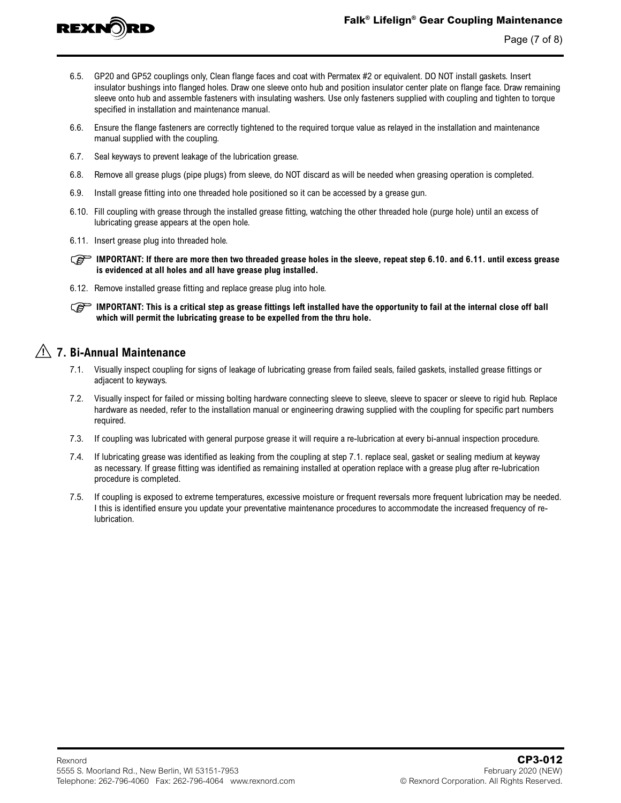

- 6.5. GP20 and GP52 couplings only, Clean flange faces and coat with Permatex #2 or equivalent. DO NOT install gaskets. Insert insulator bushings into flanged holes. Draw one sleeve onto hub and position insulator center plate on flange face. Draw remaining sleeve onto hub and assemble fasteners with insulating washers. Use only fasteners supplied with coupling and tighten to torque specified in installation and maintenance manual.
- 6.6. Ensure the flange fasteners are correctly tightened to the required torque value as relayed in the installation and maintenance manual supplied with the coupling.
- 6.7. Seal keyways to prevent leakage of the lubrication grease.
- 6.8. Remove all grease plugs (pipe plugs) from sleeve, do NOT discard as will be needed when greasing operation is completed.
- 6.9. Install grease fitting into one threaded hole positioned so it can be accessed by a grease gun.
- 6.10. Fill coupling with grease through the installed grease fitting, watching the other threaded hole (purge hole) until an excess of lubricating grease appears at the open hole.
- 6.11. Insert grease plug into threaded hole.

**IMPORTANT:** If there are more then two threaded grease holes in the sleeve, repeat step 6.10. and 6.11. until excess grease **is evidenced at all holes and all have grease plug installed.**

6.12. Remove installed grease fitting and replace grease plug into hole.

**IMPORTANT:** This is a critical step as grease fittings left installed have the opportunity to fail at the internal close off ball **which will permit the lubricating grease to be expelled from the thru hole.**

## **7. Bi-Annual Maintenance**

- 7.1. Visually inspect coupling for signs of leakage of lubricating grease from failed seals, failed gaskets, installed grease fittings or adjacent to keyways.
- 7.2. Visually inspect for failed or missing bolting hardware connecting sleeve to sleeve, sleeve to spacer or sleeve to rigid hub. Replace hardware as needed, refer to the installation manual or engineering drawing supplied with the coupling for specific part numbers required.
- 7.3. If coupling was lubricated with general purpose grease it will require a re-lubrication at every bi-annual inspection procedure.
- 7.4. If lubricating grease was identified as leaking from the coupling at step 7.1. replace seal, gasket or sealing medium at keyway as necessary. If grease fitting was identified as remaining installed at operation replace with a grease plug after re-lubrication procedure is completed.
- 7.5. If coupling is exposed to extreme temperatures, excessive moisture or frequent reversals more frequent lubrication may be needed. I this is identified ensure you update your preventative maintenance procedures to accommodate the increased frequency of relubrication.